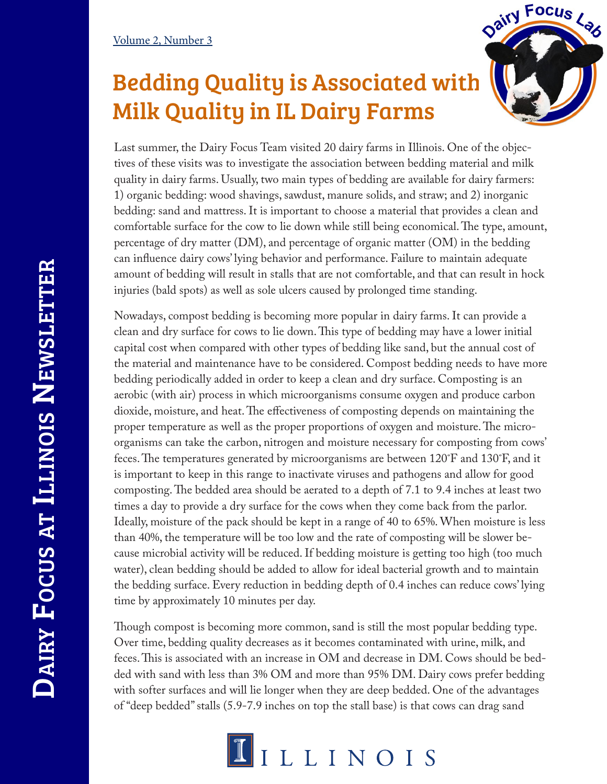## Bedding Quality is Associated with Milk Quality in IL Dairy Farms



Last summer, the Dairy Focus Team visited 20 dairy farms in Illinois. One of the objectives of these visits was to investigate the association between bedding material and milk quality in dairy farms. Usually, two main types of bedding are available for dairy farmers: 1) organic bedding: wood shavings, sawdust, manure solids, and straw; and 2) inorganic bedding: sand and mattress. It is important to choose a material that provides a clean and comfortable surface for the cow to lie down while still being economical. The type, amount, percentage of dry matter (DM), and percentage of organic matter (OM) in the bedding can influence dairy cows' lying behavior and performance. Failure to maintain adequate amount of bedding will result in stalls that are not comfortable, and that can result in hock injuries (bald spots) as well as sole ulcers caused by prolonged time standing.

Nowadays, compost bedding is becoming more popular in dairy farms. It can provide a clean and dry surface for cows to lie down. This type of bedding may have a lower initial capital cost when compared with other types of bedding like sand, but the annual cost of the material and maintenance have to be considered. Compost bedding needs to have more bedding periodically added in order to keep a clean and dry surface. Composting is an aerobic (with air) process in which microorganisms consume oxygen and produce carbon dioxide, moisture, and heat. The effectiveness of composting depends on maintaining the proper temperature as well as the proper proportions of oxygen and moisture. The microorganisms can take the carbon, nitrogen and moisture necessary for composting from cows' feces. The temperatures generated by microorganisms are between 120˚F and 130˚F, and it is important to keep in this range to inactivate viruses and pathogens and allow for good composting. The bedded area should be aerated to a depth of 7.1 to 9.4 inches at least two times a day to provide a dry surface for the cows when they come back from the parlor. Ideally, moisture of the pack should be kept in a range of 40 to 65%. When moisture is less than 40%, the temperature will be too low and the rate of composting will be slower because microbial activity will be reduced. If bedding moisture is getting too high (too much water), clean bedding should be added to allow for ideal bacterial growth and to maintain the bedding surface. Every reduction in bedding depth of 0.4 inches can reduce cows' lying time by approximately 10 minutes per day.

Though compost is becoming more common, sand is still the most popular bedding type. Over time, bedding quality decreases as it becomes contaminated with urine, milk, and feces. This is associated with an increase in OM and decrease in DM. Cows should be bedded with sand with less than 3% OM and more than 95% DM. Dairy cows prefer bedding with softer surfaces and will lie longer when they are deep bedded. One of the advantages of "deep bedded" stalls (5.9-7.9 inches on top the stall base) is that cows can drag sand

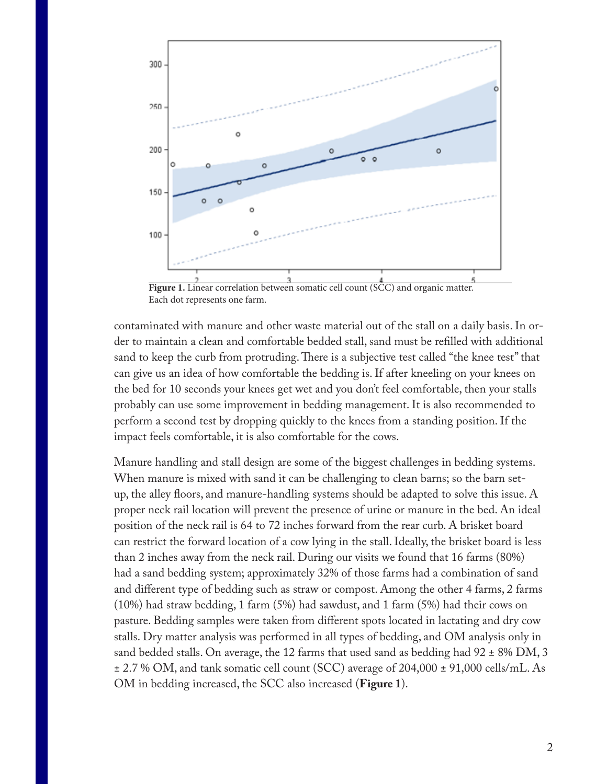

Figure 1. Linear correlation between somatic cell count (SCC) and organic matter. Each dot represents one farm.

contaminated with manure and other waste material out of the stall on a daily basis. In order to maintain a clean and comfortable bedded stall, sand must be refilled with additional sand to keep the curb from protruding. There is a subjective test called "the knee test" that can give us an idea of how comfortable the bedding is. If after kneeling on your knees on the bed for 10 seconds your knees get wet and you don't feel comfortable, then your stalls probably can use some improvement in bedding management. It is also recommended to perform a second test by dropping quickly to the knees from a standing position. If the impact feels comfortable, it is also comfortable for the cows.

Manure handling and stall design are some of the biggest challenges in bedding systems. When manure is mixed with sand it can be challenging to clean barns; so the barn setup, the alley floors, and manure-handling systems should be adapted to solve this issue. A proper neck rail location will prevent the presence of urine or manure in the bed. An ideal position of the neck rail is 64 to 72 inches forward from the rear curb. A brisket board can restrict the forward location of a cow lying in the stall. Ideally, the brisket board is less than 2 inches away from the neck rail. During our visits we found that 16 farms (80%) had a sand bedding system; approximately 32% of those farms had a combination of sand and different type of bedding such as straw or compost. Among the other 4 farms, 2 farms (10%) had straw bedding, 1 farm (5%) had sawdust, and 1 farm (5%) had their cows on pasture. Bedding samples were taken from different spots located in lactating and dry cow stalls. Dry matter analysis was performed in all types of bedding, and OM analysis only in sand bedded stalls. On average, the 12 farms that used sand as bedding had  $92 \pm 8\%$  DM, 3 ± 2.7 % OM, and tank somatic cell count (SCC) average of 204,000 ± 91,000 cells/mL. As OM in bedding increased, the SCC also increased (**Figure 1**).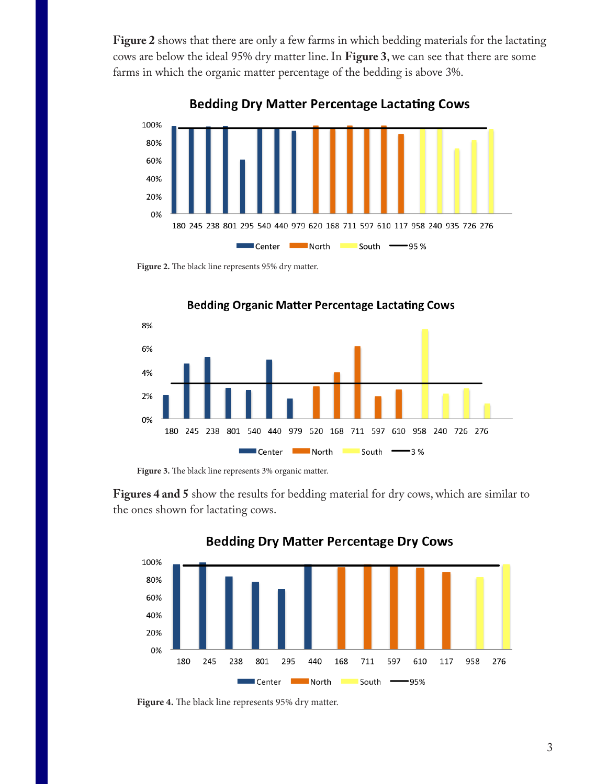**Figure 2** shows that there are only a few farms in which bedding materials for the lactating cows are below the ideal 95% dry matter line. In **Figure 3**, we can see that there are some farms in which the organic matter percentage of the bedding is above 3%.

100% 80% 60% 40% 20% 0% 180 245 238 801 295 540 440 979 620 168 711 597 610 117 958 240 935 726 276 Center **North** South **95%** 

**Bedding Dry Matter Percentage Lactating Cows** 

**Figure 2.** The black line represents 95% dry matter.



**Bedding Organic Matter Percentage Lactating Cows** 

**Figure 3.** The black line represents 3% organic matter.

**Figures 4 and 5** show the results for bedding material for dry cows, which are similar to the ones shown for lactating cows.



## **Bedding Dry Matter Percentage Dry Cows**

**Figure 4.** The black line represents 95% dry matter.